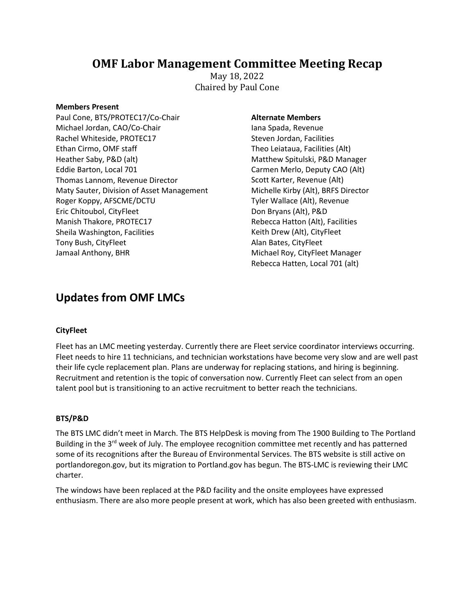## **OMF Labor Management Committee Meeting Recap**

May 18, 2022 Chaired by Paul Cone

#### **Members Present**

Paul Cone, BTS/PROTEC17/Co-Chair Michael Jordan, CAO/Co-Chair Rachel Whiteside, PROTEC17 Ethan Cirmo, OMF staff Heather Saby, P&D (alt) Eddie Barton, Local 701 Thomas Lannom, Revenue Director Maty Sauter, Division of Asset Management Roger Koppy, AFSCME/DCTU Eric Chitoubol, CityFleet Manish Thakore, PROTEC17 Sheila Washington, Facilities Tony Bush, CityFleet Jamaal Anthony, BHR

## **Alternate Members**

Iana Spada, Revenue Steven Jordan, Facilities Theo Leiataua, Facilities (Alt) Matthew Spitulski, P&D Manager Carmen Merlo, Deputy CAO (Alt) Scott Karter, Revenue (Alt) Michelle Kirby (Alt), BRFS Director Tyler Wallace (Alt), Revenue Don Bryans (Alt), P&D Rebecca Hatton (Alt), Facilities Keith Drew (Alt), CityFleet Alan Bates, CityFleet Michael Roy, CityFleet Manager Rebecca Hatten, Local 701 (alt)

# **Updates from OMF LMCs**

## **CityFleet**

Fleet has an LMC meeting yesterday. Currently there are Fleet service coordinator interviews occurring. Fleet needs to hire 11 technicians, and technician workstations have become very slow and are well past their life cycle replacement plan. Plans are underway for replacing stations, and hiring is beginning. Recruitment and retention is the topic of conversation now. Currently Fleet can select from an open talent pool but is transitioning to an active recruitment to better reach the technicians.

## **BTS/P&D**

The BTS LMC didn't meet in March. The BTS HelpDesk is moving from The 1900 Building to The Portland Building in the 3<sup>rd</sup> week of July. The employee recognition committee met recently and has patterned some of its recognitions after the Bureau of Environmental Services. The BTS website is still active on portlandoregon.gov, but its migration to Portland.gov has begun. The BTS-LMC is reviewing their LMC charter.

The windows have been replaced at the P&D facility and the onsite employees have expressed enthusiasm. There are also more people present at work, which has also been greeted with enthusiasm.